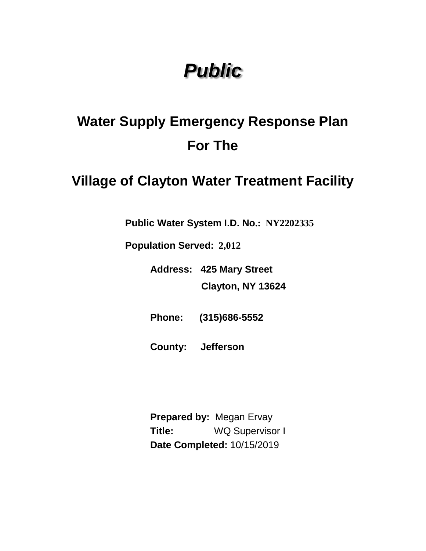# *Public*

## **Water Supply Emergency Response Plan For The**

## **Village of Clayton Water Treatment Facility**

**Public Water System I.D. No.: NY2202335**

**Population Served: 2,012**

**Address: 425 Mary Street**

**Clayton, NY 13624**

**Phone: (315)686-5552**

**County: Jefferson**

**Prepared by:** Megan Ervay **Title:** WQ Supervisor I **Date Completed:** 10/15/2019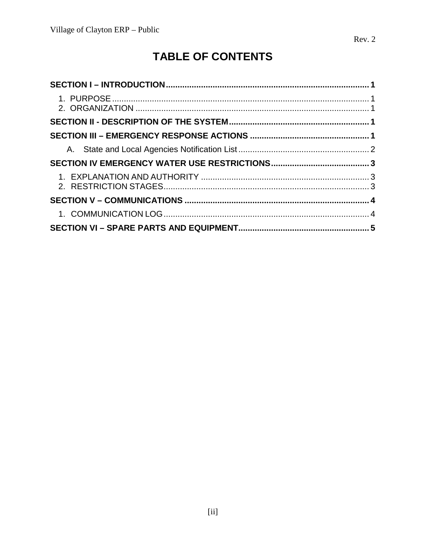### **TABLE OF CONTENTS**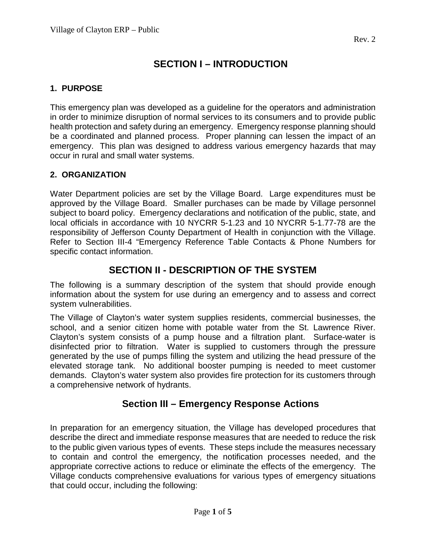#### **SECTION I – INTRODUCTION**

#### <span id="page-2-1"></span><span id="page-2-0"></span>**1. PURPOSE**

This emergency plan was developed as a guideline for the operators and administration in order to minimize disruption of normal services to its consumers and to provide public health protection and safety during an emergency. Emergency response planning should be a coordinated and planned process. Proper planning can lessen the impact of an emergency. This plan was designed to address various emergency hazards that may occur in rural and small water systems.

#### <span id="page-2-2"></span>**2. ORGANIZATION**

Water Department policies are set by the Village Board. Large expenditures must be approved by the Village Board. Smaller purchases can be made by Village personnel subject to board policy. Emergency declarations and notification of the public, state, and local officials in accordance with 10 NYCRR 5-1.23 and 10 NYCRR 5-1.77-78 are the responsibility of Jefferson County Department of Health in conjunction with the Village. Refer to Section III-4 "Emergency Reference Table Contacts & Phone Numbers for specific contact information.

#### **SECTION II - DESCRIPTION OF THE SYSTEM**

<span id="page-2-3"></span>The following is a summary description of the system that should provide enough information about the system for use during an emergency and to assess and correct system vulnerabilities.

The Village of Clayton's water system supplies residents, commercial businesses, the school, and a senior citizen home with potable water from the St. Lawrence River. Clayton's system consists of a pump house and a filtration plant. Surface-water is disinfected prior to filtration. Water is supplied to customers through the pressure generated by the use of pumps filling the system and utilizing the head pressure of the elevated storage tank. No additional booster pumping is needed to meet customer demands. Clayton's water system also provides fire protection for its customers through a comprehensive network of hydrants.

#### <span id="page-2-4"></span>**Section III – Emergency Response Actions**

In preparation for an emergency situation, the Village has developed procedures that describe the direct and immediate response measures that are needed to reduce the risk to the public given various types of events. These steps include the measures necessary to contain and control the emergency, the notification processes needed, and the appropriate corrective actions to reduce or eliminate the effects of the emergency. The Village conducts comprehensive evaluations for various types of emergency situations that could occur, including the following: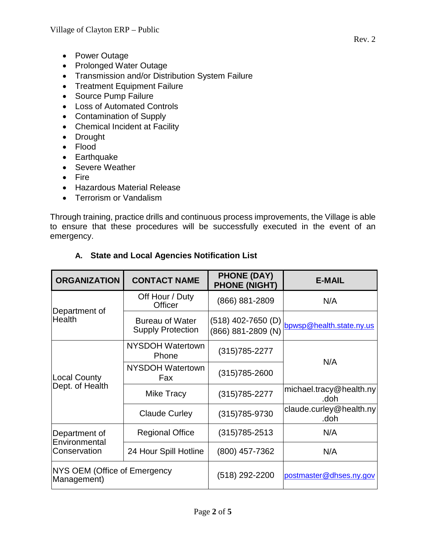- Prolonged Water Outage
- Transmission and/or Distribution System Failure
- Treatment Equipment Failure
- Source Pump Failure
- Loss of Automated Controls
- Contamination of Supply
- Chemical Incident at Facility
- Drought
- Flood
- Earthquake
- Severe Weather
- Fire
- Hazardous Material Release
- Terrorism or Vandalism

Through training, practice drills and continuous process improvements, the Village is able to ensure that these procedures will be successfully executed in the event of an emergency.

| <b>ORGANIZATION</b>                            | <b>CONTACT NAME</b>                                | <b>PHONE (DAY)</b><br><b>PHONE (NIGHT)</b> | <b>E-MAIL</b>                   |
|------------------------------------------------|----------------------------------------------------|--------------------------------------------|---------------------------------|
| Department of<br>Health                        | Off Hour / Duty<br>Officer                         | (866) 881-2809                             | N/A                             |
|                                                | <b>Bureau of Water</b><br><b>Supply Protection</b> | (518) 402-7650 (D)<br>(866) 881-2809 (N)   | bpwsp@health.state.ny.us        |
| <b>Local County</b><br>Dept. of Health         | <b>NYSDOH Watertown</b><br>Phone                   | $(315)785 - 2277$                          |                                 |
|                                                | <b>NYSDOH Watertown</b><br>Fax                     | $(315)785 - 2600$                          | N/A                             |
|                                                | Mike Tracy                                         | (315) 785-2277                             | michael.tracy@health.ny<br>.doh |
|                                                | <b>Claude Curley</b>                               | (315) 785-9730                             | claude.curley@health.ny<br>.doh |
| Department of<br>Environmental<br>Conservation | <b>Regional Office</b>                             | $(315)785 - 2513$                          | N/A                             |
|                                                | 24 Hour Spill Hotline                              | (800) 457-7362                             | N/A                             |
| NYS OEM (Office of Emergency<br>Management)    |                                                    | (518) 292-2200                             | postmaster@dhses.ny.gov         |

#### <span id="page-3-0"></span>**A. State and Local Agencies Notification List**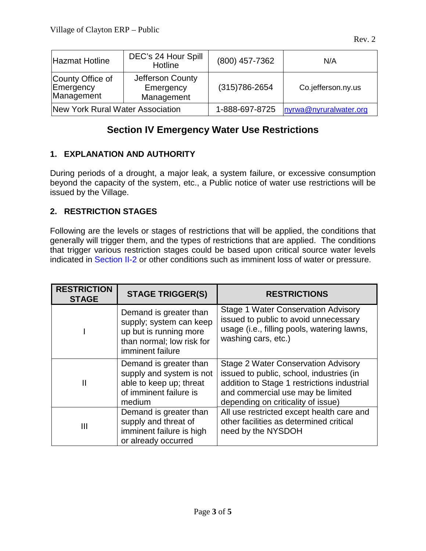| <b>Hazmat Hotline</b>                       | DEC's 24 Hour Spill<br>Hotline              | (800) 457-7362 | N/A                    |
|---------------------------------------------|---------------------------------------------|----------------|------------------------|
| County Office of<br>Emergency<br>Management | Jefferson County<br>Emergency<br>Management |                | Co.jefferson.ny.us     |
| New York Rural Water Association            |                                             | 1-888-697-8725 | nyrwa@nyruralwater.org |

#### **Section IV Emergency Water Use Restrictions**

#### <span id="page-4-1"></span><span id="page-4-0"></span>**1. EXPLANATION AND AUTHORITY**

During periods of a drought, a major leak, a system failure, or excessive consumption beyond the capacity of the system, etc., a Public notice of water use restrictions will be issued by the Village.

#### <span id="page-4-2"></span>**2. RESTRICTION STAGES**

Following are the levels or stages of restrictions that will be applied, the conditions that generally will trigger them, and the types of restrictions that are applied. The conditions that trigger various restriction stages could be based upon critical source water levels indicated in [Section II-2](#page-2-4) or other conditions such as imminent loss of water or pressure.

<span id="page-4-3"></span>

| <b>RESTRICTION</b><br><b>STAGE</b> | <b>STAGE TRIGGER(S)</b>                                                                                                      | <b>RESTRICTIONS</b>                                                                                                                                                                                              |
|------------------------------------|------------------------------------------------------------------------------------------------------------------------------|------------------------------------------------------------------------------------------------------------------------------------------------------------------------------------------------------------------|
|                                    | Demand is greater than<br>supply; system can keep<br>up but is running more<br>than normal; low risk for<br>imminent failure | <b>Stage 1 Water Conservation Advisory</b><br>issued to public to avoid unnecessary<br>usage (i.e., filling pools, watering lawns,<br>washing cars, etc.)                                                        |
| $\mathbf{I}$                       | Demand is greater than<br>supply and system is not<br>able to keep up; threat<br>of imminent failure is<br>medium            | <b>Stage 2 Water Conservation Advisory</b><br>issued to public, school, industries (in<br>addition to Stage 1 restrictions industrial<br>and commercial use may be limited<br>depending on criticality of issue) |
| Ш                                  | Demand is greater than<br>supply and threat of<br>imminent failure is high<br>or already occurred                            | All use restricted except health care and<br>other facilities as determined critical<br>need by the NYSDOH                                                                                                       |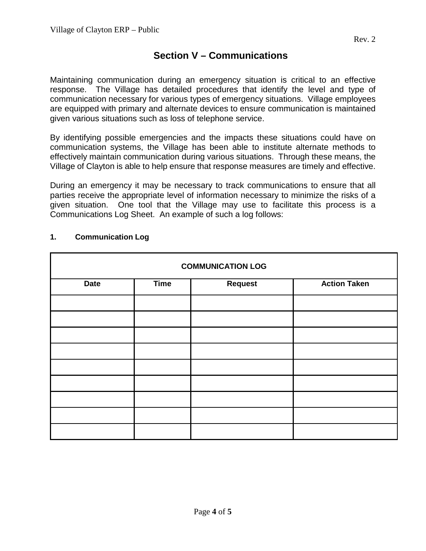#### **Section V – Communications**

Maintaining communication during an emergency situation is critical to an effective response. The Village has detailed procedures that identify the level and type of communication necessary for various types of emergency situations. Village employees are equipped with primary and alternate devices to ensure communication is maintained given various situations such as loss of telephone service.

By identifying possible emergencies and the impacts these situations could have on communication systems, the Village has been able to institute alternate methods to effectively maintain communication during various situations. Through these means, the Village of Clayton is able to help ensure that response measures are timely and effective.

During an emergency it may be necessary to track communications to ensure that all parties receive the appropriate level of information necessary to minimize the risks of a given situation. One tool that the Village may use to facilitate this process is a Communications Log Sheet. An example of such a log follows:

| <b>COMMUNICATION LOG</b> |             |                |                     |
|--------------------------|-------------|----------------|---------------------|
| <b>Date</b>              | <b>Time</b> | <b>Request</b> | <b>Action Taken</b> |
|                          |             |                |                     |
|                          |             |                |                     |
|                          |             |                |                     |
|                          |             |                |                     |
|                          |             |                |                     |
|                          |             |                |                     |
|                          |             |                |                     |
|                          |             |                |                     |
|                          |             |                |                     |

#### **1. Communication Log**